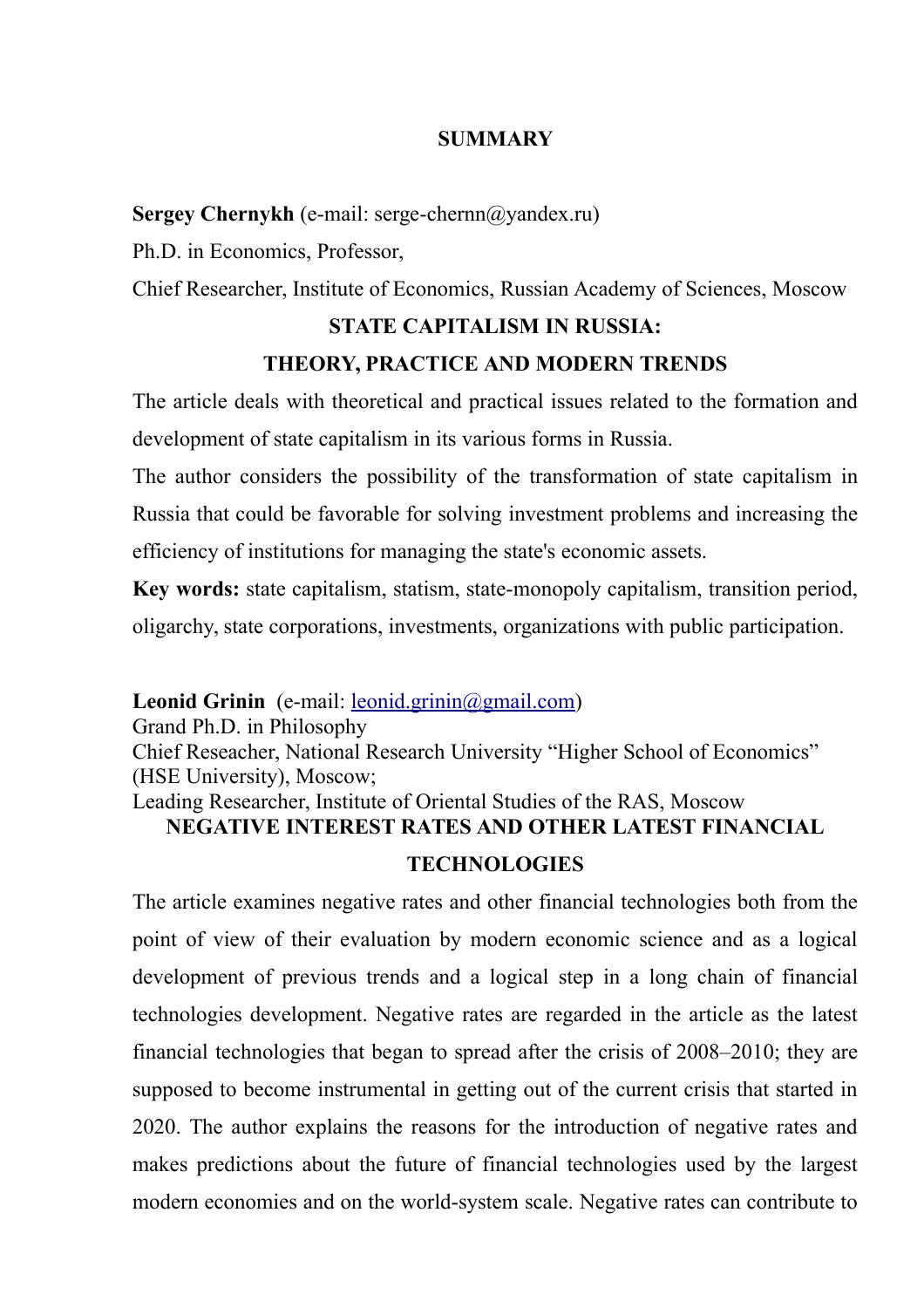### **SUMMARY**

#### **Sergey Chernykh** (e-mail: serge-chernn@yandex.ru)

Ph.D. in Economics, Professor,

Chief Researcher, Institute of Economics, Russian Academy of Sciences, Moscow

### **STATE CAPITALISM IN RUSSIA:**

### **THEORY, PRACTICE AND MODERN TRENDS**

The article deals with theoretical and practical issues related to the formation and development of state capitalism in its various forms in Russia.

The author considers the possibility of the transformation of state capitalism in Russia that could be favorable for solving investment problems and increasing the efficiency of institutions for managing the state's economic assets.

**Key words:** state capitalism, statism, state-monopoly capitalism, transition period, oligarchy, state corporations, investments, organizations with public participation.

#### Leonid Grinin (e-mail: [leonid.grinin@gmail.com\)](mailto:leonid.grinin@gmail.com)

Grand Ph.D. in Philosophy Chief Reseacher, National Research University "Higher School of Economics" (HSE University), Moscow; Leading Researcher, Institute of Oriental Studies of the RAS, Moscow **NEGATIVE INTEREST RATES AND OTHER LATEST FINANCIAL**

### **TECHNOLOGIES**

The article examines negative rates and other financial technologies both from the point of view of their evaluation by modern economic science and as a logical development of previous trends and a logical step in a long chain of financial technologies development. Negative rates are regarded in the article as the latest financial technologies that began to spread after the crisis of 2008–2010; they are supposed to become instrumental in getting out of the current crisis that started in 2020. The author explains the reasons for the introduction of negative rates and makes predictions about the future of financial technologies used by the largest modern economies and on the world-system scale. Negative rates can contribute to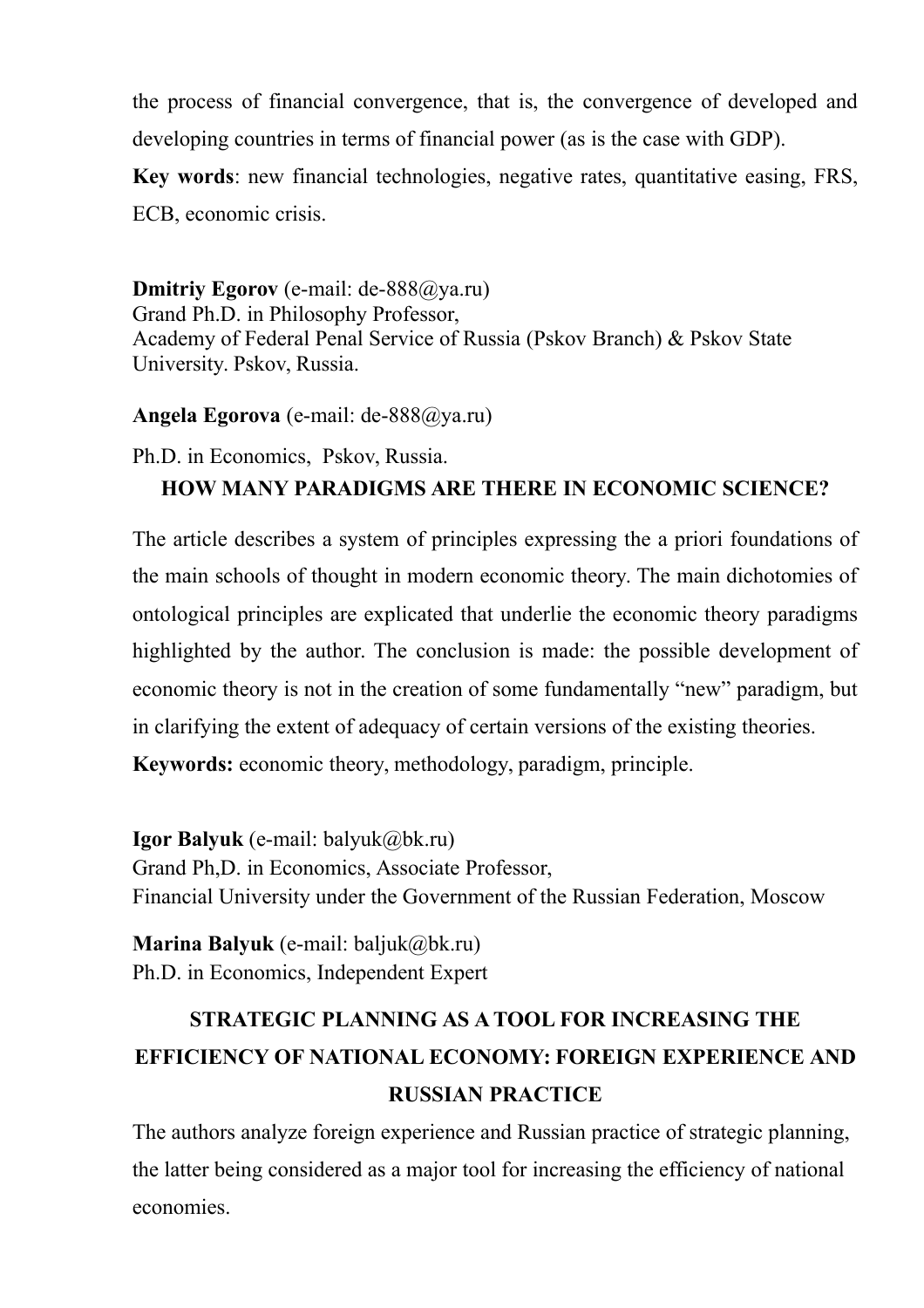the process of financial convergence, that is, the convergence of developed and developing countries in terms of financial power (as is the case with GDP).

**Key words**: new financial technologies, negative rates, quantitative easing, FRS, ECB, economic crisis.

**Dmitriy Egorov** (e-mail: de-888@ya.ru) Grand Ph.D. in Philosophy Professor, Academy of Federal Penal Service of Russia (Pskov Branch) & Pskov State University. Pskov, Russia.

**Angela Еgorova** (e-mail: de-888@ya.ru)

Ph.D. in Economics, Pskov, Russia.

## **HOW MANY PARADIGMS ARE THERE IN ECONOMIC SCIENCE?**

The article describes a system of principles expressing the a priori foundations of the main schools of thought in modern economic theory. The main dichotomies of ontological principles are explicated that underlie the economic theory paradigms highlighted by the author. The conclusion is made: the possible development of economic theory is not in the creation of some fundamentally "new" paradigm, but in clarifying the extent of adequacy of certain versions of the existing theories. **Keywords:** economic theory, methodology, paradigm, principle.

**Igor Balyuk** (e-mail: balyuk@bk.ru) Grand Ph,D. in Economics, Associate Professor, Financial University under the Government of the Russian Federation, Moscow

**Marina Balyuk** (e-mail: baljuk@bk.ru) Ph.D. in Economics, Independent Expert

# **STRATEGIC PLANNING AS A TOOL FOR INCREASING THE EFFICIENCY OF NATIONAL ECONOMY: FOREIGN EXPERIENCE AND RUSSIAN PRACTICE**

The authors analyze foreign experience and Russian practice of strategic planning, the latter being considered as a major tool for increasing the efficiency of national economies.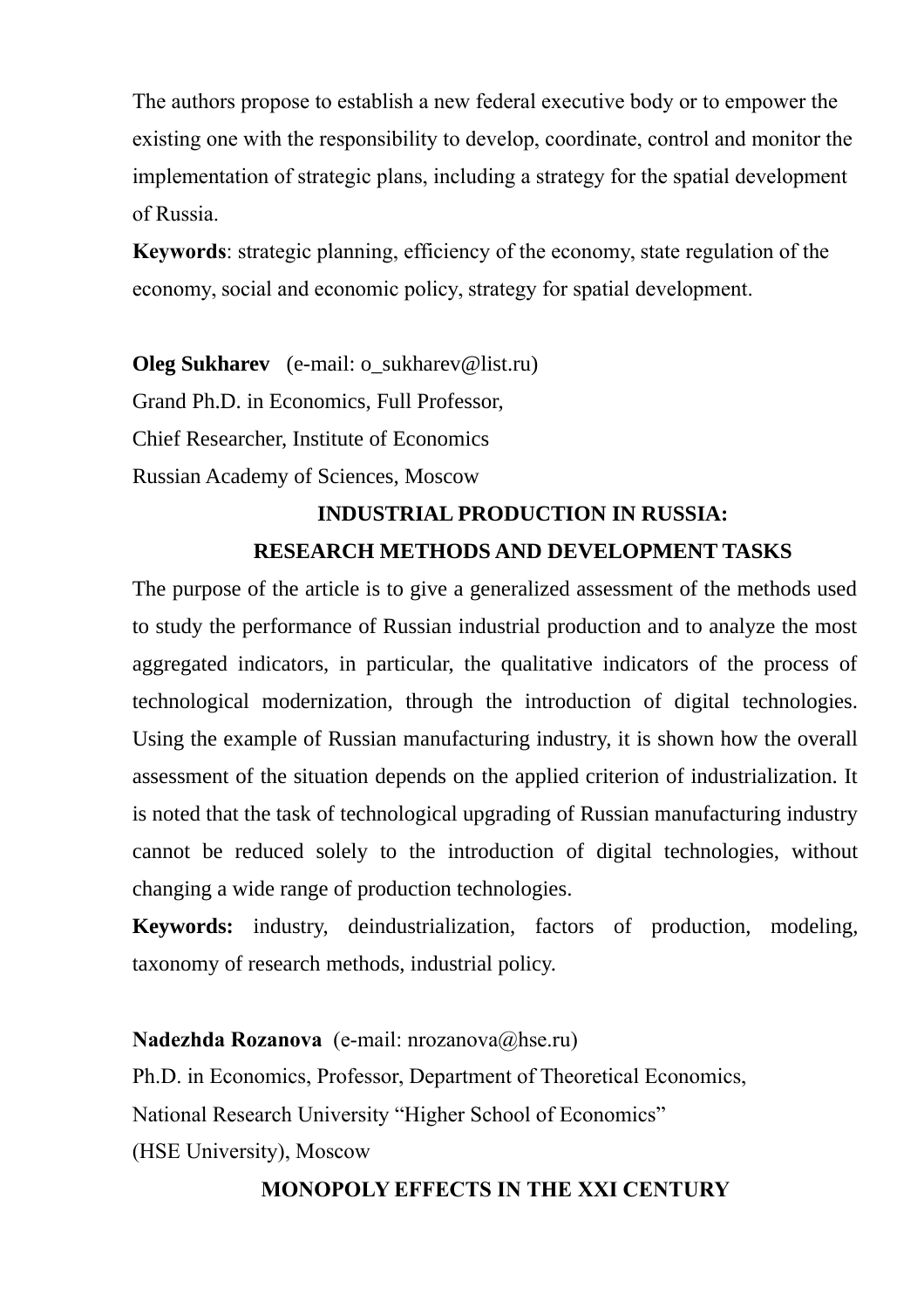The authors propose to establish a new federal executive body or to empower the existing one with the responsibility to develop, coordinate, control and monitor the implementation of strategic plans, including a strategy for the spatial development of Russia.

**Keywords**: strategic planning, efficiency of the economy, state regulation of the economy, social and economic policy, strategy for spatial development.

**Oleg Sukharev** (e-mail: o\_sukharev@list.ru) Grand Ph.D. in Economics, Full Professor, Chief Researcher, Institute of Economics Russian Academy of Sciences, Moscow

# **INDUSTRIAL PRODUCTION IN RUSSIA: RESEARCH METHODS AND DEVELOPMENT TASKS**

The purpose of the article is to give a generalized assessment of the methods used to study the performance of Russian industrial production and to analyze the most aggregated indicators, in particular, the qualitative indicators of the process of technological modernization, through the introduction of digital technologies. Using the example of Russian manufacturing industry, it is shown how the overall assessment of the situation depends on the applied criterion of industrialization. It is noted that the task of technological upgrading of Russian manufacturing industry cannot be reduced solely to the introduction of digital technologies, without changing a wide range of production technologies.

**Keywords:** industry, deindustrialization, factors of production, modeling, taxonomy of research methods, industrial policy.

**Nadezhda Rozanova** (e-mail: nrozanova@hse.ru)

Ph.D. in Economics, Professor, Department of Theoretical Economics, National Research University "Higher School of Economics" (HSE University), Moscow

# **MONOPOLY EFFECTS IN THE XXI CENTURY**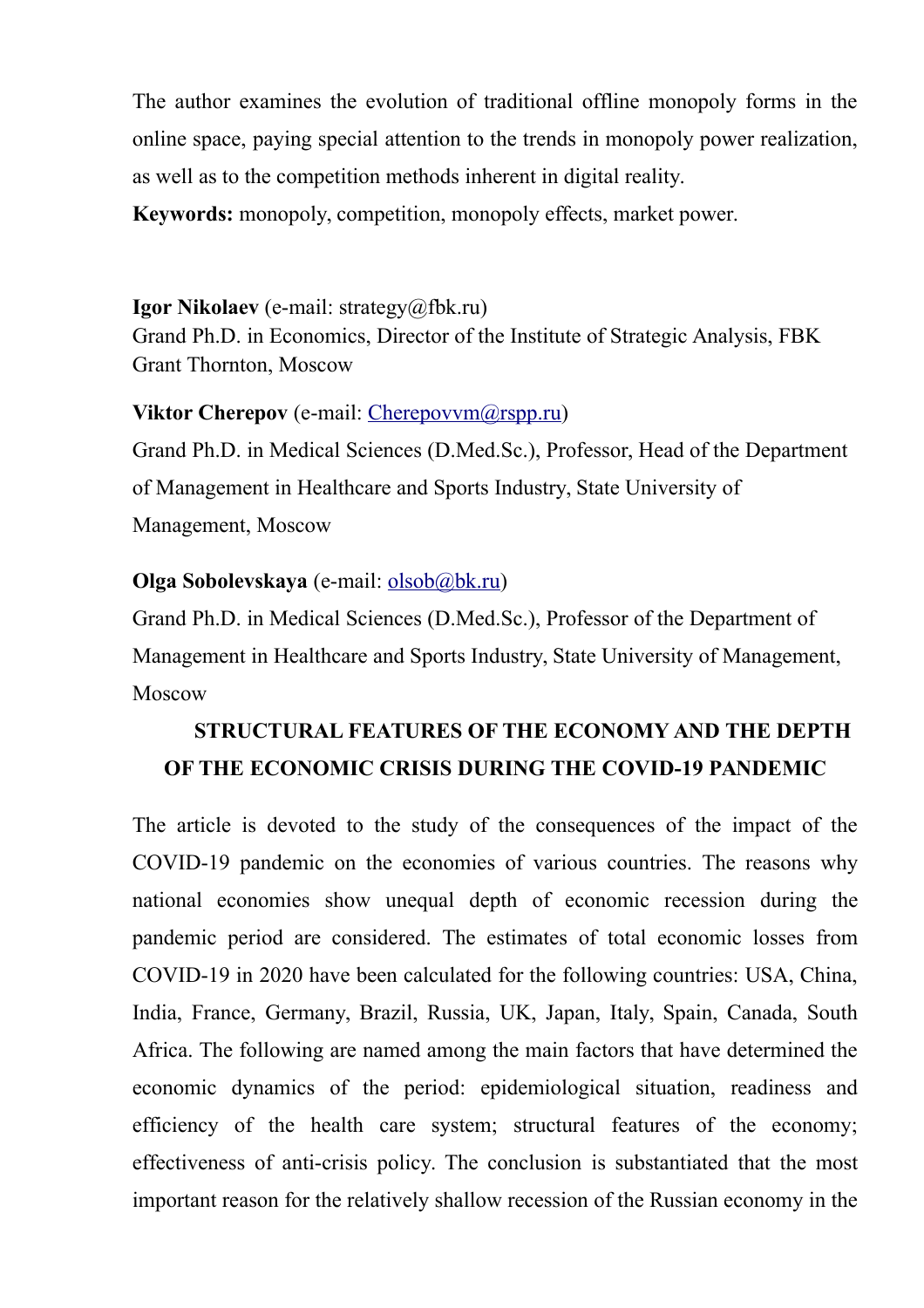The author examines the evolution of traditional offline monopoly forms in the online space, paying special attention to the trends in monopoly power realization, as well as to the competition methods inherent in digital reality.

**Keywords:** monopoly, competition, monopoly effects, market power.

### **Igor Nikolaev** (e-mail: strategy@fbk.ru)

Grand Ph.D. in Economics, Director of the Institute of Strategic Analysis, FBK Grant Thornton, Moscow

### **Viktor Cherepov** (e-mail: [Cherepovvm@rspp.ru\)](mailto:Cherepovvm@rspp.ru)

Grand Ph.D. in Medical Sciences (D.Med.Sc.), Professor, Head of the Department of Management in Healthcare and Sports Industry, State University of Management, Moscow

## **Olga Sobolevskaya** (e-mail: [olsob@bk.ru\)](mailto:olsob@bk.ru)

Grand Ph.D. in Medical Sciences (D.Med.Sc.), Professor of the Department of Management in Healthcare and Sports Industry, State University of Management, Moscow

# **STRUCTURAL FEATURES OF THE ECONOMY AND THE DEPTH OF THE ECONOMIC CRISIS DURING THE COVID-19 PANDEMIC**

The article is devoted to the study of the consequences of the impact of the COVID-19 pandemic on the economies of various countries. The reasons why national economies show unequal depth of economic recession during the pandemic period are considered. The estimates of total economic losses from COVID-19 in 2020 have been calculated for the following countries: USA, China, India, France, Germany, Brazil, Russia, UK, Japan, Italy, Spain, Canada, South Africa. The following are named among the main factors that have determined the economic dynamics of the period: epidemiological situation, readiness and efficiency of the health care system; structural features of the economy; effectiveness of anti-crisis policy. The conclusion is substantiated that the most important reason for the relatively shallow recession of the Russian economy in the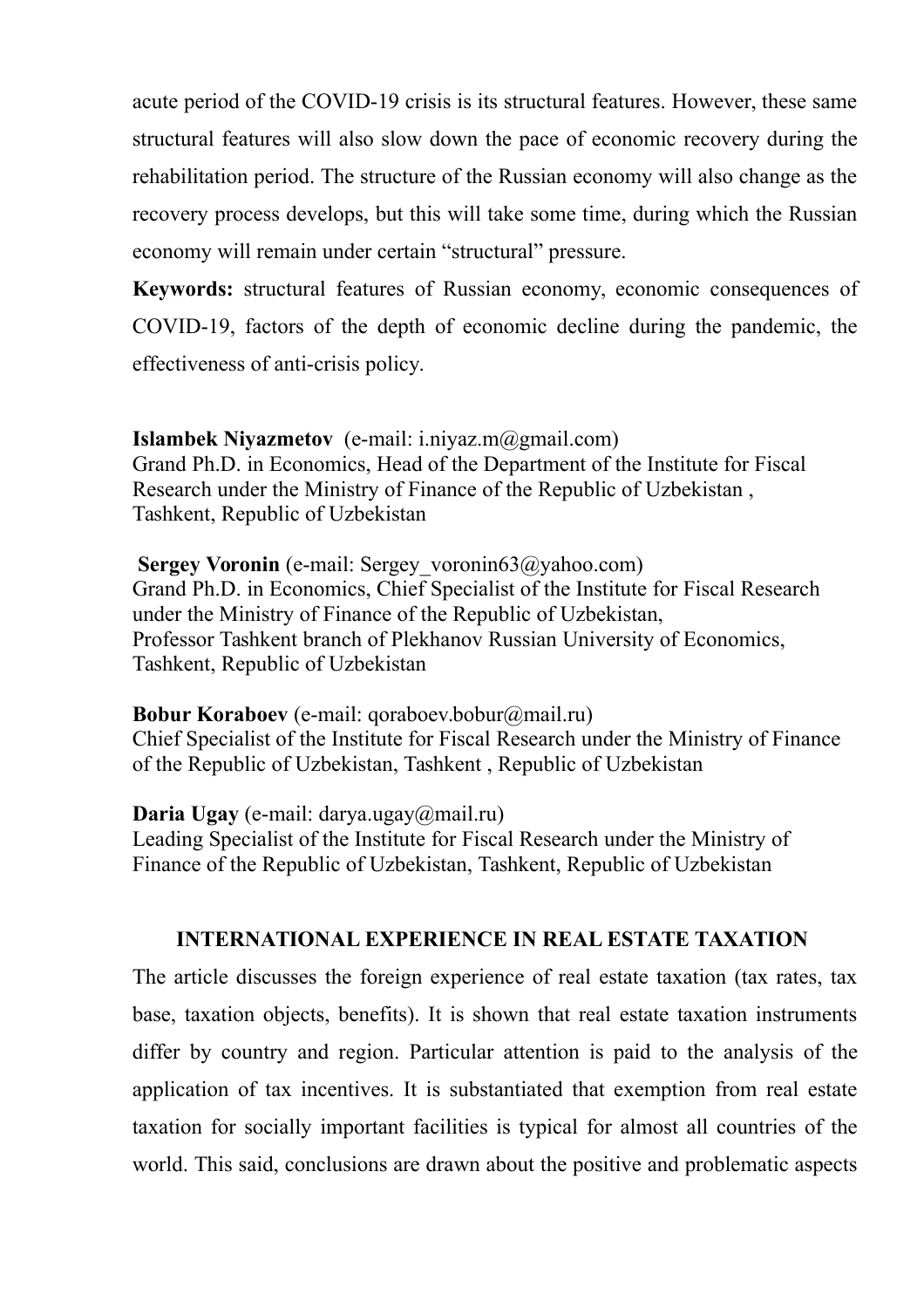acute period of the COVID-19 crisis is its structural features. However, these same structural features will also slow down the pace of economic recovery during the rehabilitation period. The structure of the Russian economy will also change as the recovery process develops, but this will take some time, during which the Russian economy will remain under certain "structural" pressure.

**Keywords:** structural features of Russian economy, economic consequences of COVID-19, factors of the depth of economic decline during the pandemic, the effectiveness of anti-crisis policy.

**Islambek Niyazmetov** (e-mail: i.niyaz.m@gmail.com) Grand Ph.D. in Economics, Head of the Department of the Institute for Fiscal Research under the Ministry of Finance of the Republic of Uzbekistan , Tashkent, Republic of Uzbekistan

**Sergey Voronin** (e-mail: Sergey voronin63@yahoo.com) Grand Ph.D. in Economics, Chief Specialist of the Institute for Fiscal Research under the Ministry of Finance of the Republic of Uzbekistan, Professor Tashkent branch of Plekhanov Russian University of Economics, Tashkent, Republic of Uzbekistan

**Bobur Koraboev** (e-mail: goraboev.bobur@mail.ru) Chief Specialist of the Institute for Fiscal Research under the Ministry of Finance of the Republic of Uzbekistan, Tashkent , Republic of Uzbekistan

**Daria Ugay** (e-mail: darya.ugay@mail.ru) Leading Specialist of the Institute for Fiscal Research under the Ministry of Finance of the Republic of Uzbekistan, Tashkent, Republic of Uzbekistan

### **INTERNATIONAL EXPERIENCE IN REAL ESTATE TAXATION**

The article discusses the foreign experience of real estate taxation (tax rates, tax base, taxation objects, benefits). It is shown that real estate taxation instruments differ by country and region. Particular attention is paid to the analysis of the application of tax incentives. It is substantiated that exemption from real estate taxation for socially important facilities is typical for almost all countries of the world. This said, conclusions are drawn about the positive and problematic aspects